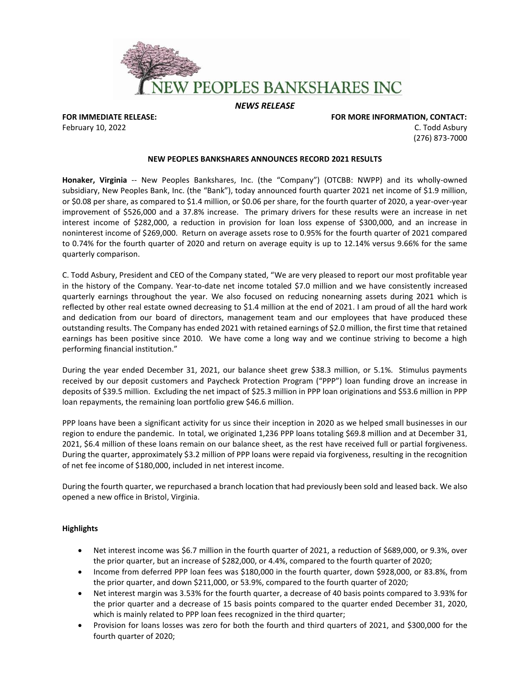

*NEWS RELEASE*

**FOR IMMEDIATE RELEASE: FOR MORE INFORMATION, CONTACT:**  February 10, 2022 **C.** Todd Asbury C. Todd Asbury C. Todd Asbury C. Todd Asbury C. Todd Asbury C. Todd Asbury C. Todd Asbury C. Todd Asbury C. Todd Asbury C. Todd Asbury C. Todd Asbury C. Todd Asbury C. Todd Asbury C. Todd (276) 873-7000

## **NEW PEOPLES BANKSHARES ANNOUNCES RECORD 2021 RESULTS**

**Honaker, Virginia** -- New Peoples Bankshares, Inc. (the "Company") (OTCBB: NWPP) and its wholly-owned subsidiary, New Peoples Bank, Inc. (the "Bank"), today announced fourth quarter 2021 net income of \$1.9 million, or \$0.08 per share, as compared to \$1.4 million, or \$0.06 per share, for the fourth quarter of 2020, a year-over-year improvement of \$526,000 and a 37.8% increase. The primary drivers for these results were an increase in net interest income of \$282,000, a reduction in provision for loan loss expense of \$300,000, and an increase in noninterest income of \$269,000. Return on average assets rose to 0.95% for the fourth quarter of 2021 compared to 0.74% for the fourth quarter of 2020 and return on average equity is up to 12.14% versus 9.66% for the same quarterly comparison.

C. Todd Asbury, President and CEO of the Company stated, "We are very pleased to report our most profitable year in the history of the Company. Year-to-date net income totaled \$7.0 million and we have consistently increased quarterly earnings throughout the year. We also focused on reducing nonearning assets during 2021 which is reflected by other real estate owned decreasing to \$1.4 million at the end of 2021. I am proud of all the hard work and dedication from our board of directors, management team and our employees that have produced these outstanding results. The Company has ended 2021 with retained earnings of \$2.0 million, the first time that retained earnings has been positive since 2010. We have come a long way and we continue striving to become a high performing financial institution."

During the year ended December 31, 2021, our balance sheet grew \$38.3 million, or 5.1%. Stimulus payments received by our deposit customers and Paycheck Protection Program ("PPP") loan funding drove an increase in deposits of \$39.5 million. Excluding the net impact of \$25.3 million in PPP loan originations and \$53.6 million in PPP loan repayments, the remaining loan portfolio grew \$46.6 million.

PPP loans have been a significant activity for us since their inception in 2020 as we helped small businesses in our region to endure the pandemic. In total, we originated 1,236 PPP loans totaling \$69.8 million and at December 31, 2021, \$6.4 million of these loans remain on our balance sheet, as the rest have received full or partial forgiveness. During the quarter, approximately \$3.2 million of PPP loans were repaid via forgiveness, resulting in the recognition of net fee income of \$180,000, included in net interest income.

During the fourth quarter, we repurchased a branch location that had previously been sold and leased back. We also opened a new office in Bristol, Virginia.

# **Highlights**

- Net interest income was \$6.7 million in the fourth quarter of 2021, a reduction of \$689,000, or 9.3%, over the prior quarter, but an increase of \$282,000, or 4.4%, compared to the fourth quarter of 2020;
- Income from deferred PPP loan fees was \$180,000 in the fourth quarter, down \$928,000, or 83.8%, from the prior quarter, and down \$211,000, or 53.9%, compared to the fourth quarter of 2020;
- Net interest margin was 3.53% for the fourth quarter, a decrease of 40 basis points compared to 3.93% for the prior quarter and a decrease of 15 basis points compared to the quarter ended December 31, 2020, which is mainly related to PPP loan fees recognized in the third quarter;
- Provision for loans losses was zero for both the fourth and third quarters of 2021, and \$300,000 for the fourth quarter of 2020;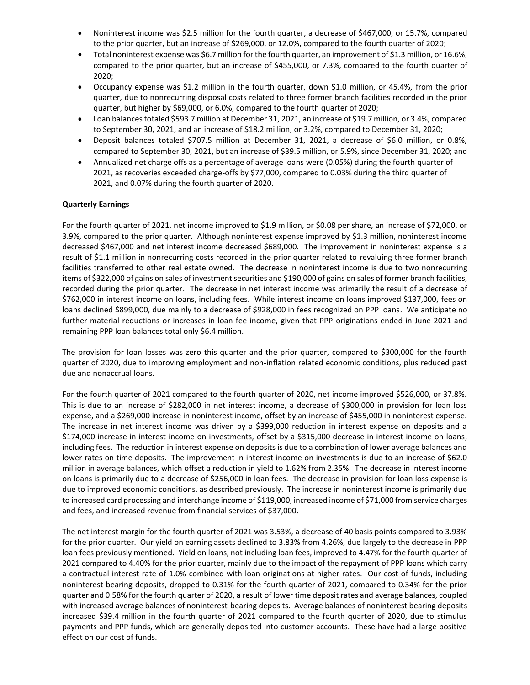- Noninterest income was \$2.5 million for the fourth quarter, a decrease of \$467,000, or 15.7%, compared to the prior quarter, but an increase of \$269,000, or 12.0%, compared to the fourth quarter of 2020;
- Total noninterest expense was \$6.7 million for the fourth quarter, an improvement of \$1.3 million, or 16.6%, compared to the prior quarter, but an increase of \$455,000, or 7.3%, compared to the fourth quarter of 2020;
- Occupancy expense was \$1.2 million in the fourth quarter, down \$1.0 million, or 45.4%, from the prior quarter, due to nonrecurring disposal costs related to three former branch facilities recorded in the prior quarter, but higher by \$69,000, or 6.0%, compared to the fourth quarter of 2020;
- Loan balances totaled \$593.7 million at December 31, 2021, an increase of \$19.7 million, or 3.4%, compared to September 30, 2021, and an increase of \$18.2 million, or 3.2%, compared to December 31, 2020;
- Deposit balances totaled \$707.5 million at December 31, 2021, a decrease of \$6.0 million, or 0.8%, compared to September 30, 2021, but an increase of \$39.5 million, or 5.9%, since December 31, 2020; and
- Annualized net charge offs as a percentage of average loans were (0.05%) during the fourth quarter of 2021, as recoveries exceeded charge-offs by \$77,000, compared to 0.03% during the third quarter of 2021, and 0.07% during the fourth quarter of 2020.

# **Quarterly Earnings**

For the fourth quarter of 2021, net income improved to \$1.9 million, or \$0.08 per share, an increase of \$72,000, or 3.9%, compared to the prior quarter. Although noninterest expense improved by \$1.3 million, noninterest income decreased \$467,000 and net interest income decreased \$689,000. The improvement in noninterest expense is a result of \$1.1 million in nonrecurring costs recorded in the prior quarter related to revaluing three former branch facilities transferred to other real estate owned. The decrease in noninterest income is due to two nonrecurring items of \$322,000 of gains on sales of investment securities and \$190,000 of gains on sales of former branch facilities, recorded during the prior quarter. The decrease in net interest income was primarily the result of a decrease of \$762,000 in interest income on loans, including fees. While interest income on loans improved \$137,000, fees on loans declined \$899,000, due mainly to a decrease of \$928,000 in fees recognized on PPP loans. We anticipate no further material reductions or increases in loan fee income, given that PPP originations ended in June 2021 and remaining PPP loan balances total only \$6.4 million.

The provision for loan losses was zero this quarter and the prior quarter, compared to \$300,000 for the fourth quarter of 2020, due to improving employment and non-inflation related economic conditions, plus reduced past due and nonaccrual loans.

For the fourth quarter of 2021 compared to the fourth quarter of 2020, net income improved \$526,000, or 37.8%. This is due to an increase of \$282,000 in net interest income, a decrease of \$300,000 in provision for loan loss expense, and a \$269,000 increase in noninterest income, offset by an increase of \$455,000 in noninterest expense. The increase in net interest income was driven by a \$399,000 reduction in interest expense on deposits and a \$174,000 increase in interest income on investments, offset by a \$315,000 decrease in interest income on loans, including fees. The reduction in interest expense on deposits is due to a combination of lower average balances and lower rates on time deposits. The improvement in interest income on investments is due to an increase of \$62.0 million in average balances, which offset a reduction in yield to 1.62% from 2.35%. The decrease in interest income on loans is primarily due to a decrease of \$256,000 in loan fees. The decrease in provision for loan loss expense is due to improved economic conditions, as described previously. The increase in noninterest income is primarily due to increased card processing and interchange income of \$119,000, increased income of \$71,000 from service charges and fees, and increased revenue from financial services of \$37,000.

The net interest margin for the fourth quarter of 2021 was 3.53%, a decrease of 40 basis points compared to 3.93% for the prior quarter. Our yield on earning assets declined to 3.83% from 4.26%, due largely to the decrease in PPP loan fees previously mentioned. Yield on loans, not including loan fees, improved to 4.47% for the fourth quarter of 2021 compared to 4.40% for the prior quarter, mainly due to the impact of the repayment of PPP loans which carry a contractual interest rate of 1.0% combined with loan originations at higher rates. Our cost of funds, including noninterest-bearing deposits, dropped to 0.31% for the fourth quarter of 2021, compared to 0.34% for the prior quarter and 0.58% for the fourth quarter of 2020, a result of lower time deposit rates and average balances, coupled with increased average balances of noninterest-bearing deposits. Average balances of noninterest bearing deposits increased \$39.4 million in the fourth quarter of 2021 compared to the fourth quarter of 2020, due to stimulus payments and PPP funds, which are generally deposited into customer accounts. These have had a large positive effect on our cost of funds.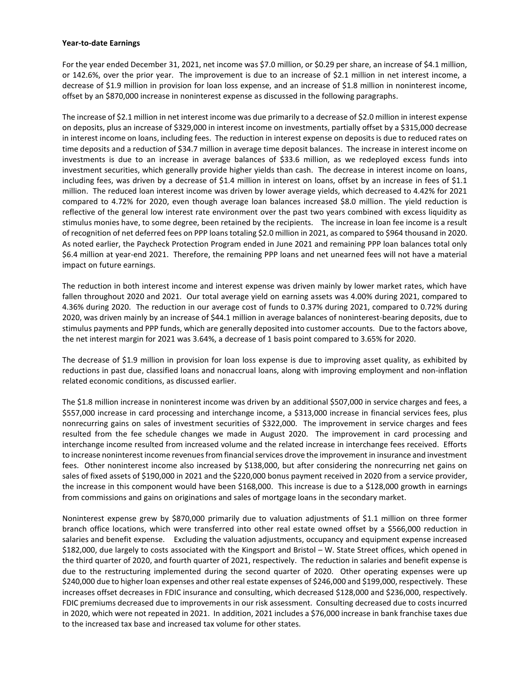## **Year-to-date Earnings**

For the year ended December 31, 2021, net income was \$7.0 million, or \$0.29 per share, an increase of \$4.1 million, or 142.6%, over the prior year. The improvement is due to an increase of \$2.1 million in net interest income, a decrease of \$1.9 million in provision for loan loss expense, and an increase of \$1.8 million in noninterest income, offset by an \$870,000 increase in noninterest expense as discussed in the following paragraphs.

The increase of \$2.1 million in net interest income was due primarily to a decrease of \$2.0 million in interest expense on deposits, plus an increase of \$329,000 in interest income on investments, partially offset by a \$315,000 decrease in interest income on loans, including fees. The reduction in interest expense on deposits is due to reduced rates on time deposits and a reduction of \$34.7 million in average time deposit balances. The increase in interest income on investments is due to an increase in average balances of \$33.6 million, as we redeployed excess funds into investment securities, which generally provide higher yields than cash. The decrease in interest income on loans, including fees, was driven by a decrease of \$1.4 million in interest on loans, offset by an increase in fees of \$1.1 million. The reduced loan interest income was driven by lower average yields, which decreased to 4.42% for 2021 compared to 4.72% for 2020, even though average loan balances increased \$8.0 million. The yield reduction is reflective of the general low interest rate environment over the past two years combined with excess liquidity as stimulus monies have, to some degree, been retained by the recipients. The increase in loan fee income is a result of recognition of net deferred fees on PPP loanstotaling \$2.0 million in 2021, as compared to \$964 thousand in 2020. As noted earlier, the Paycheck Protection Program ended in June 2021 and remaining PPP loan balances total only \$6.4 million at year-end 2021. Therefore, the remaining PPP loans and net unearned fees will not have a material impact on future earnings.

The reduction in both interest income and interest expense was driven mainly by lower market rates, which have fallen throughout 2020 and 2021. Our total average yield on earning assets was 4.00% during 2021, compared to 4.36% during 2020. The reduction in our average cost of funds to 0.37% during 2021, compared to 0.72% during 2020, was driven mainly by an increase of \$44.1 million in average balances of noninterest-bearing deposits, due to stimulus payments and PPP funds, which are generally deposited into customer accounts. Due to the factors above, the net interest margin for 2021 was 3.64%, a decrease of 1 basis point compared to 3.65% for 2020.

The decrease of \$1.9 million in provision for loan loss expense is due to improving asset quality, as exhibited by reductions in past due, classified loans and nonaccrual loans, along with improving employment and non-inflation related economic conditions, as discussed earlier.

The \$1.8 million increase in noninterest income was driven by an additional \$507,000 in service charges and fees, a \$557,000 increase in card processing and interchange income, a \$313,000 increase in financial services fees, plus nonrecurring gains on sales of investment securities of \$322,000. The improvement in service charges and fees resulted from the fee schedule changes we made in August 2020. The improvement in card processing and interchange income resulted from increased volume and the related increase in interchange fees received. Efforts to increase noninterest income revenues from financial services drove the improvement in insurance and investment fees. Other noninterest income also increased by \$138,000, but after considering the nonrecurring net gains on sales of fixed assets of \$190,000 in 2021 and the \$220,000 bonus payment received in 2020 from a service provider, the increase in this component would have been \$168,000. This increase is due to a \$128,000 growth in earnings from commissions and gains on originations and sales of mortgage loans in the secondary market.

Noninterest expense grew by \$870,000 primarily due to valuation adjustments of \$1.1 million on three former branch office locations, which were transferred into other real estate owned offset by a \$566,000 reduction in salaries and benefit expense. Excluding the valuation adjustments, occupancy and equipment expense increased \$182,000, due largely to costs associated with the Kingsport and Bristol – W. State Street offices, which opened in the third quarter of 2020, and fourth quarter of 2021, respectively. The reduction in salaries and benefit expense is due to the restructuring implemented during the second quarter of 2020. Other operating expenses were up \$240,000 due to higher loan expenses and other real estate expenses of \$246,000 and \$199,000, respectively. These increases offset decreases in FDIC insurance and consulting, which decreased \$128,000 and \$236,000, respectively. FDIC premiums decreased due to improvements in our risk assessment. Consulting decreased due to costs incurred in 2020, which were not repeated in 2021. In addition, 2021 includes a \$76,000 increase in bank franchise taxes due to the increased tax base and increased tax volume for other states.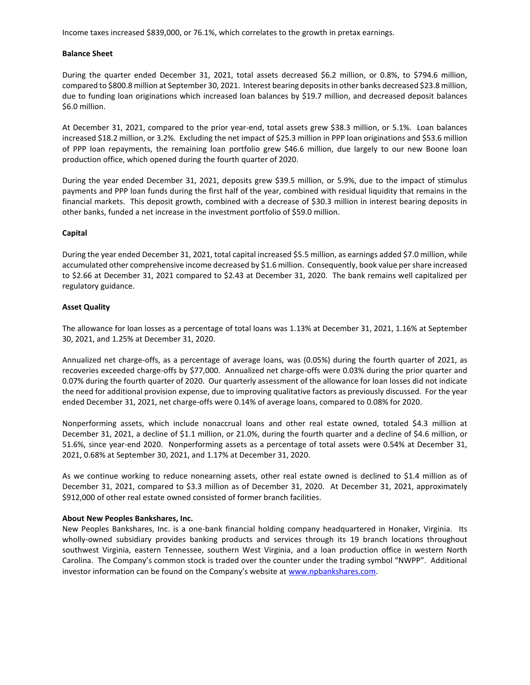Income taxes increased \$839,000, or 76.1%, which correlates to the growth in pretax earnings.

## **Balance Sheet**

During the quarter ended December 31, 2021, total assets decreased \$6.2 million, or 0.8%, to \$794.6 million, compared to \$800.8 million at September 30, 2021. Interest bearing deposits in other banks decreased \$23.8 million, due to funding loan originations which increased loan balances by \$19.7 million, and decreased deposit balances \$6.0 million.

At December 31, 2021, compared to the prior year-end, total assets grew \$38.3 million, or 5.1%. Loan balances increased \$18.2 million, or 3.2%. Excluding the net impact of \$25.3 million in PPP loan originations and \$53.6 million of PPP loan repayments, the remaining loan portfolio grew \$46.6 million, due largely to our new Boone loan production office, which opened during the fourth quarter of 2020.

During the year ended December 31, 2021, deposits grew \$39.5 million, or 5.9%, due to the impact of stimulus payments and PPP loan funds during the first half of the year, combined with residual liquidity that remains in the financial markets. This deposit growth, combined with a decrease of \$30.3 million in interest bearing deposits in other banks, funded a net increase in the investment portfolio of \$59.0 million.

## **Capital**

During the year ended December 31, 2021, total capital increased \$5.5 million, as earnings added \$7.0 million, while accumulated other comprehensive income decreased by \$1.6 million. Consequently, book value per share increased to \$2.66 at December 31, 2021 compared to \$2.43 at December 31, 2020. The bank remains well capitalized per regulatory guidance.

## **Asset Quality**

The allowance for loan losses as a percentage of total loans was 1.13% at December 31, 2021, 1.16% at September 30, 2021, and 1.25% at December 31, 2020.

Annualized net charge-offs, as a percentage of average loans, was (0.05%) during the fourth quarter of 2021, as recoveries exceeded charge-offs by \$77,000. Annualized net charge-offs were 0.03% during the prior quarter and 0.07% during the fourth quarter of 2020. Our quarterly assessment of the allowance for loan losses did not indicate the need for additional provision expense, due to improving qualitative factors as previously discussed. For the year ended December 31, 2021, net charge-offs were 0.14% of average loans, compared to 0.08% for 2020.

Nonperforming assets, which include nonaccrual loans and other real estate owned, totaled \$4.3 million at December 31, 2021, a decline of \$1.1 million, or 21.0%, during the fourth quarter and a decline of \$4.6 million, or 51.6%, since year-end 2020. Nonperforming assets as a percentage of total assets were 0.54% at December 31, 2021, 0.68% at September 30, 2021, and 1.17% at December 31, 2020.

As we continue working to reduce nonearning assets, other real estate owned is declined to \$1.4 million as of December 31, 2021, compared to \$3.3 million as of December 31, 2020. At December 31, 2021, approximately \$912,000 of other real estate owned consisted of former branch facilities.

#### **About New Peoples Bankshares, Inc.**

New Peoples Bankshares, Inc. is a one-bank financial holding company headquartered in Honaker, Virginia. Its wholly-owned subsidiary provides banking products and services through its 19 branch locations throughout southwest Virginia, eastern Tennessee, southern West Virginia, and a loan production office in western North Carolina. The Company's common stock is traded over the counter under the trading symbol "NWPP". Additional investor information can be found on the Company's website at [www.npbankshares.com.](http://www.npbankshares.com/)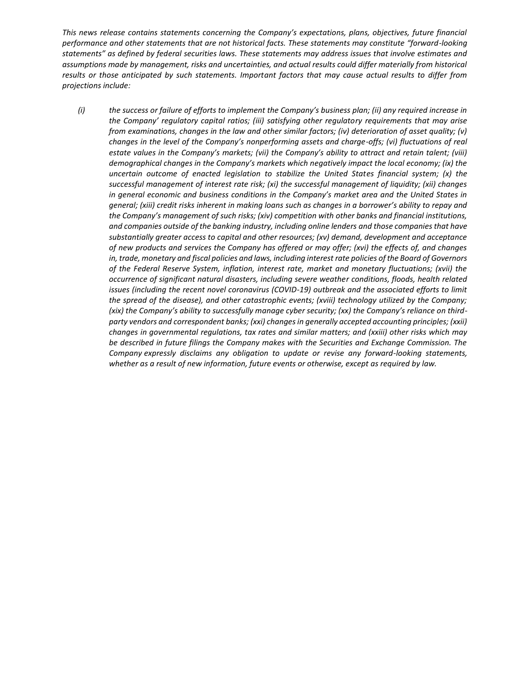*This news release contains statements concerning the Company's expectations, plans, objectives, future financial performance and other statements that are not historical facts. These statements may constitute "forward-looking statements" as defined by federal securities laws. These statements may address issues that involve estimates and assumptions made by management, risks and uncertainties, and actual results could differ materially from historical results or those anticipated by such statements. Important factors that may cause actual results to differ from projections include:*

*(i) the success or failure of efforts to implement the Company's business plan; (ii) any required increase in the Company' regulatory capital ratios; (iii) satisfying other regulatory requirements that may arise from examinations, changes in the law and other similar factors; (iv) deterioration of asset quality; (v) changes in the level of the Company's nonperforming assets and charge-offs; (vi) fluctuations of real estate values in the Company's markets; (vii) the Company's ability to attract and retain talent; (viii) demographical changes in the Company's markets which negatively impact the local economy; (ix) the uncertain outcome of enacted legislation to stabilize the United States financial system; (x) the successful management of interest rate risk; (xi) the successful management of liquidity; (xii) changes in general economic and business conditions in the Company's market area and the United States in general; (xiii) credit risks inherent in making loans such as changes in a borrower's ability to repay and the Company's management of such risks; (xiv) competition with other banks and financial institutions, and companies outside of the banking industry, including online lenders and those companies that have substantially greater access to capital and other resources; (xv) demand, development and acceptance of new products and services the Company has offered or may offer; (xvi) the effects of, and changes in, trade, monetary and fiscal policies and laws, including interest rate policies of the Board of Governors of the Federal Reserve System, inflation, interest rate, market and monetary fluctuations; (xvii) the occurrence of significant natural disasters, including severe weather conditions, floods, health related*  issues (including the recent novel coronavirus (COVID-19) outbreak and the associated efforts to limit *the spread of the disease), and other catastrophic events; (xviii) technology utilized by the Company; (xix) the Company's ability to successfully manage cyber security; (xx) the Company's reliance on thirdparty vendors and correspondent banks; (xxi) changes in generally accepted accounting principles; (xxii) changes in governmental regulations, tax rates and similar matters; and (xxiii) other risks which may be described in future filings the Company makes with the Securities and Exchange Commission. The Company expressly disclaims any obligation to update or revise any forward-looking statements, whether as a result of new information, future events or otherwise, except as required by law.*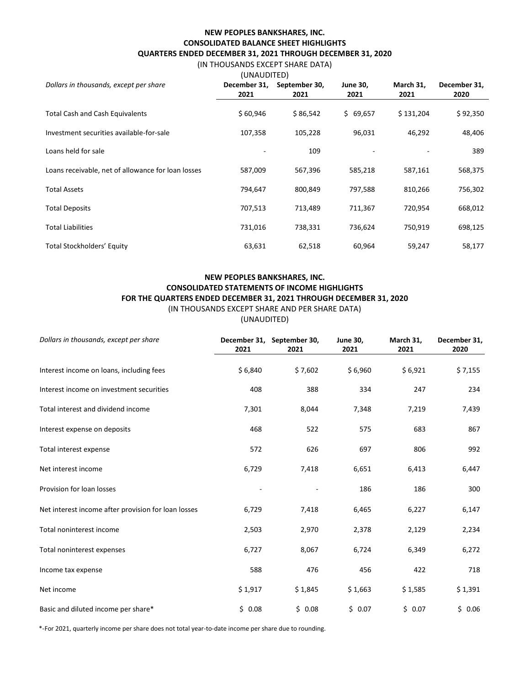# **NEW PEOPLES BANKSHARES, INC. CONSOLIDATED BALANCE SHEET HIGHLIGHTS QUARTERS ENDED DECEMBER 31, 2021 THROUGH DECEMBER 31, 2020**

# (IN THOUSANDS EXCEPT SHARE DATA)

| (UNAUDITED)                                        |                               |          |                 |           |              |
|----------------------------------------------------|-------------------------------|----------|-----------------|-----------|--------------|
| Dollars in thousands, except per share             | December 31,<br>September 30, |          | <b>June 30,</b> | March 31, | December 31, |
|                                                    | 2021                          | 2021     | 2021            | 2021      | 2020         |
| <b>Total Cash and Cash Equivalents</b>             | \$60,946                      | \$86,542 | \$69,657        | \$131,204 | \$92,350     |
| Investment securities available-for-sale           | 107,358                       | 105,228  | 96,031          | 46,292    | 48,406       |
| Loans held for sale                                |                               | 109      |                 |           | 389          |
| Loans receivable, net of allowance for loan losses | 587,009                       | 567,396  | 585,218         | 587,161   | 568,375      |
| <b>Total Assets</b>                                | 794,647                       | 800,849  | 797,588         | 810,266   | 756,302      |
| <b>Total Deposits</b>                              | 707,513                       | 713,489  | 711,367         | 720,954   | 668,012      |
| <b>Total Liabilities</b>                           | 731,016                       | 738,331  | 736,624         | 750,919   | 698,125      |
| Total Stockholders' Equity                         | 63,631                        | 62,518   | 60,964          | 59,247    | 58,177       |

# **NEW PEOPLES BANKSHARES, INC. CONSOLIDATED STATEMENTS OF INCOME HIGHLIGHTS FOR THE QUARTERS ENDED DECEMBER 31, 2021 THROUGH DECEMBER 31, 2020** (IN THOUSANDS EXCEPT SHARE AND PER SHARE DATA)

(UNAUDITED)

| Dollars in thousands, except per share              | 2021    | December 31, September 30,<br>2021 | <b>June 30,</b><br>2021 | March 31,<br>2021 | December 31,<br>2020 |
|-----------------------------------------------------|---------|------------------------------------|-------------------------|-------------------|----------------------|
| Interest income on loans, including fees            | \$6,840 | \$7,602                            | \$6,960                 | \$6,921           | \$7,155              |
| Interest income on investment securities            | 408     | 388                                | 334                     | 247               | 234                  |
| Total interest and dividend income                  | 7,301   | 8,044                              | 7,348                   | 7,219             | 7,439                |
| Interest expense on deposits                        | 468     | 522                                | 575                     | 683               | 867                  |
| Total interest expense                              | 572     | 626                                | 697                     | 806               | 992                  |
| Net interest income                                 | 6,729   | 7,418                              | 6,651                   | 6,413             | 6,447                |
| Provision for loan losses                           |         |                                    | 186                     | 186               | 300                  |
| Net interest income after provision for loan losses | 6,729   | 7,418                              | 6,465                   | 6,227             | 6,147                |
| Total noninterest income                            | 2,503   | 2,970                              | 2,378                   | 2,129             | 2,234                |
| Total noninterest expenses                          | 6,727   | 8,067                              | 6,724                   | 6,349             | 6,272                |
| Income tax expense                                  | 588     | 476                                | 456                     | 422               | 718                  |
| Net income                                          | \$1,917 | \$1,845                            | \$1,663                 | \$1,585           | \$1,391              |
| Basic and diluted income per share*                 | \$0.08  | \$0.08                             | \$0.07                  | \$0.07            | \$0.06               |

\*-For 2021, quarterly income per share does not total year-to-date income per share due to rounding.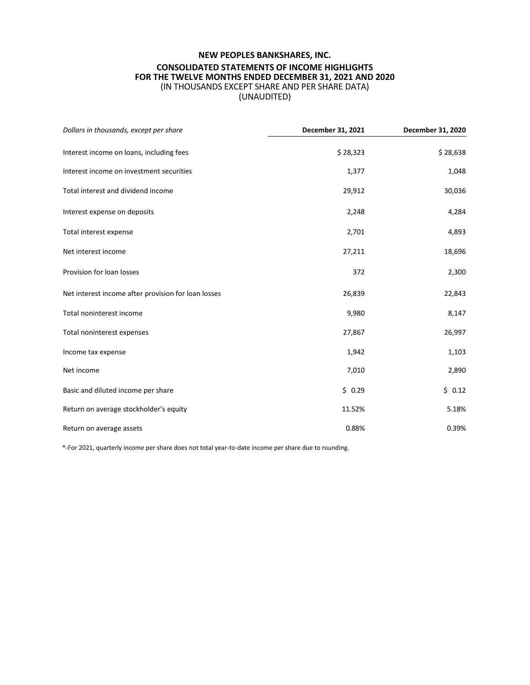# **NEW PEOPLES BANKSHARES, INC. CONSOLIDATED STATEMENTS OF INCOME HIGHLIGHTS FOR THE TWELVE MONTHS ENDED DECEMBER 31, 2021 AND 2020** (IN THOUSANDS EXCEPT SHARE AND PER SHARE DATA) (UNAUDITED)

| Dollars in thousands, except per share              | December 31, 2021 | December 31, 2020 |
|-----------------------------------------------------|-------------------|-------------------|
| Interest income on loans, including fees            | \$28,323          | \$28,638          |
| Interest income on investment securities            | 1,377             | 1,048             |
| Total interest and dividend income                  | 29,912            | 30,036            |
| Interest expense on deposits                        | 2,248             | 4,284             |
| Total interest expense                              | 2,701             | 4,893             |
| Net interest income                                 | 27,211            | 18,696            |
| Provision for loan losses                           | 372               | 2,300             |
| Net interest income after provision for loan losses | 26,839            | 22,843            |
| Total noninterest income                            | 9,980             | 8,147             |
| Total noninterest expenses                          | 27,867            | 26,997            |
| Income tax expense                                  | 1,942             | 1,103             |
| Net income                                          | 7,010             | 2,890             |
| Basic and diluted income per share                  | \$0.29            | \$0.12            |
| Return on average stockholder's equity              | 11.52%            | 5.18%             |
| Return on average assets                            | 0.88%             | 0.39%             |

\*-For 2021, quarterly income per share does not total year-to-date income per share due to rounding.